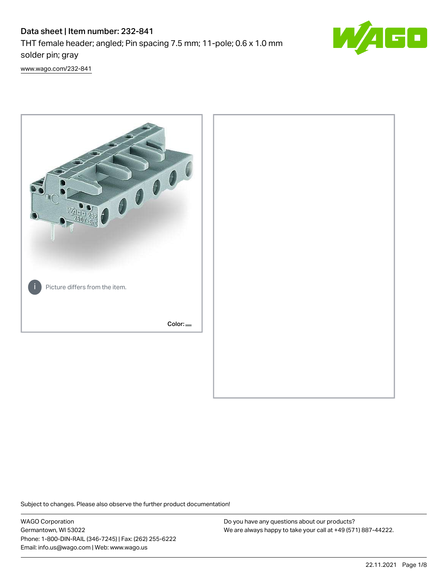## Data sheet | Item number: 232-841 THT female header; angled; Pin spacing 7.5 mm; 11-pole; 0.6 x 1.0 mm solder pin; gray



[www.wago.com/232-841](http://www.wago.com/232-841)



Subject to changes. Please also observe the further product documentation!

WAGO Corporation Germantown, WI 53022 Phone: 1-800-DIN-RAIL (346-7245) | Fax: (262) 255-6222 Email: info.us@wago.com | Web: www.wago.us

Do you have any questions about our products? We are always happy to take your call at +49 (571) 887-44222.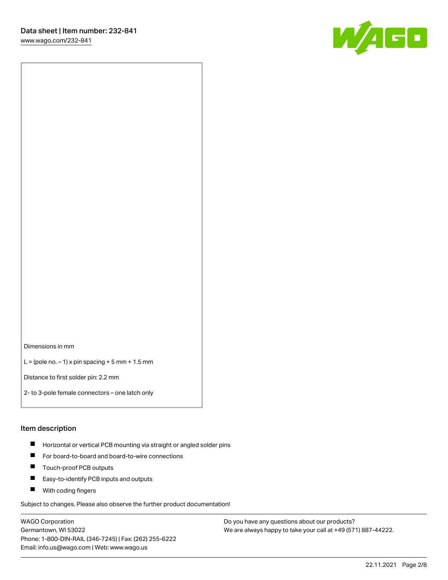[www.wago.com/232-841](http://www.wago.com/232-841)



Dimensions in mm

 $L =$  (pole no.  $-1$ ) x pin spacing  $+5$  mm  $+ 1.5$  mm

Distance to first solder pin: 2.2 mm

2- to 3-pole female connectors – one latch only

#### Item description

- **Horizontal or vertical PCB mounting via straight or angled solder pins**
- For board-to-board and board-to-wire connections
- $\blacksquare$ Touch-proof PCB outputs
- $\blacksquare$ Easy-to-identify PCB inputs and outputs
- **Now With coding fingers**

Subject to changes. Please also observe the further product documentation!

WAGO Corporation Germantown, WI 53022 Phone: 1-800-DIN-RAIL (346-7245) | Fax: (262) 255-6222 Email: info.us@wago.com | Web: www.wago.us

Do you have any questions about our products? We are always happy to take your call at +49 (571) 887-44222.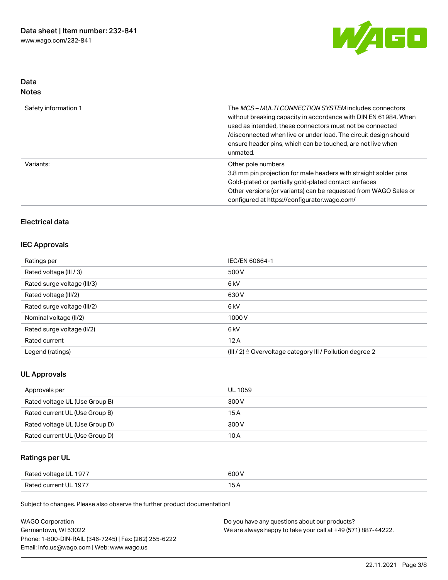

## Data Notes

| Safety information 1 | The <i>MCS – MULTI CONNECTION SYSTEM</i> includes connectors<br>without breaking capacity in accordance with DIN EN 61984. When<br>used as intended, these connectors must not be connected<br>/disconnected when live or under load. The circuit design should<br>ensure header pins, which can be touched, are not live when<br>unmated. |
|----------------------|--------------------------------------------------------------------------------------------------------------------------------------------------------------------------------------------------------------------------------------------------------------------------------------------------------------------------------------------|
| Variants:            | Other pole numbers<br>3.8 mm pin projection for male headers with straight solder pins<br>Gold-plated or partially gold-plated contact surfaces<br>Other versions (or variants) can be requested from WAGO Sales or<br>configured at https://configurator.wago.com/                                                                        |

## Electrical data

#### IEC Approvals

| Ratings per                 | IEC/EN 60664-1                                                       |
|-----------------------------|----------------------------------------------------------------------|
| Rated voltage (III / 3)     | 500 V                                                                |
| Rated surge voltage (III/3) | 6 <sub>k</sub> V                                                     |
| Rated voltage (III/2)       | 630 V                                                                |
| Rated surge voltage (III/2) | 6 <sub>k</sub> V                                                     |
| Nominal voltage (II/2)      | 1000V                                                                |
| Rated surge voltage (II/2)  | 6 <sub>k</sub> V                                                     |
| Rated current               | 12A                                                                  |
| Legend (ratings)            | (III / 2) $\triangleq$ Overvoltage category III / Pollution degree 2 |

## UL Approvals

| Approvals per                  | <b>UL 1059</b> |
|--------------------------------|----------------|
| Rated voltage UL (Use Group B) | 300 V          |
| Rated current UL (Use Group B) | 15 A           |
| Rated voltage UL (Use Group D) | 300 V          |
| Rated current UL (Use Group D) | 10 A           |

## Ratings per UL

| Rated voltage UL 1977 | 600 V |
|-----------------------|-------|
| Rated current UL 1977 |       |

| <b>WAGO Corporation</b>                                | Do you have any questions about our products?                 |
|--------------------------------------------------------|---------------------------------------------------------------|
| Germantown, WI 53022                                   | We are always happy to take your call at +49 (571) 887-44222. |
| Phone: 1-800-DIN-RAIL (346-7245)   Fax: (262) 255-6222 |                                                               |
| Email: info.us@wago.com   Web: www.wago.us             |                                                               |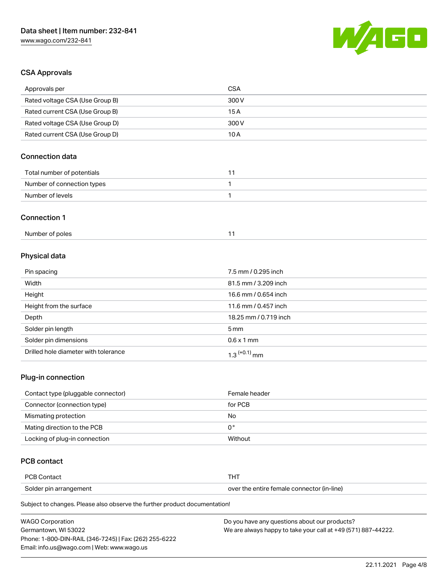

## CSA Approvals

| <b>CSA</b>            |
|-----------------------|
| 300V                  |
| 15A                   |
| 300V                  |
| 10A                   |
|                       |
| 11                    |
| 1                     |
| 1                     |
|                       |
| 11                    |
|                       |
| 7.5 mm / 0.295 inch   |
| 81.5 mm / 3.209 inch  |
| 16.6 mm / 0.654 inch  |
| 11.6 mm / 0.457 inch  |
| 18.25 mm / 0.719 inch |
| 5 <sub>mm</sub>       |
|                       |

# Solder pin dimensions 6.6 x 1 mm Drilled hole diameter with tolerance  $1.3$   $(+0.1)$  mm

#### Plug-in connection

| Contact type (pluggable connector) | Female header |
|------------------------------------|---------------|
| Connector (connection type)        | for PCB       |
| Mismating protection               | No            |
| Mating direction to the PCB        | 0°            |
| Locking of plug-in connection      | Without       |

## PCB contact

| <b>PCB Contact</b>     |                                            |
|------------------------|--------------------------------------------|
| Solder pin arrangement | over the entire female connector (in-line) |

| <b>WAGO Corporation</b>                                | Do you have any questions about our products?                 |
|--------------------------------------------------------|---------------------------------------------------------------|
| Germantown. WI 53022                                   | We are always happy to take your call at +49 (571) 887-44222. |
| Phone: 1-800-DIN-RAIL (346-7245)   Fax: (262) 255-6222 |                                                               |
| Email: info.us@wago.com   Web: www.wago.us             |                                                               |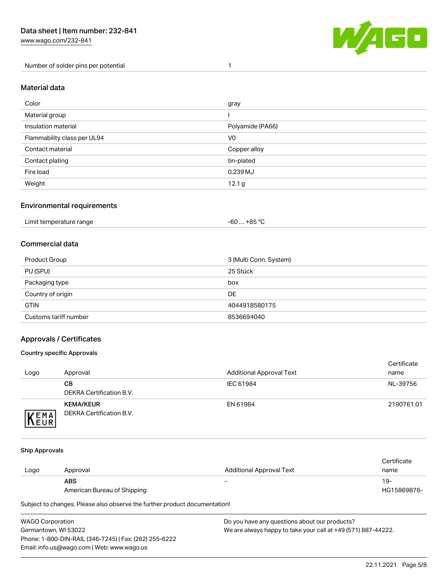[www.wago.com/232-841](http://www.wago.com/232-841)

Number of solder pins per potential 1



#### Material data

| Color                       | gray              |
|-----------------------------|-------------------|
| Material group              |                   |
| Insulation material         | Polyamide (PA66)  |
| Flammability class per UL94 | V <sub>0</sub>    |
| Contact material            | Copper alloy      |
| Contact plating             | tin-plated        |
| Fire load                   | 0.239 MJ          |
| Weight                      | 12.1 <sub>g</sub> |

#### Environmental requirements

| Limit temperature range<br>. | . +85 °C<br>-60 |  |
|------------------------------|-----------------|--|
|------------------------------|-----------------|--|

### Commercial data

| Product Group         | 3 (Multi Conn. System) |
|-----------------------|------------------------|
| PU (SPU)              | 25 Stück               |
| Packaging type        | box                    |
| Country of origin     | <b>DE</b>              |
| <b>GTIN</b>           | 4044918580175          |
| Customs tariff number | 8536694040             |

#### Approvals / Certificates

#### Country specific Approvals

| Logo                | Approval                                     | <b>Additional Approval Text</b> | Certificate<br>name |
|---------------------|----------------------------------------------|---------------------------------|---------------------|
|                     | CВ<br>DEKRA Certification B.V.               | IEC 61984                       | NL-39756            |
| EMA<br><b>INEUR</b> | <b>KEMA/KEUR</b><br>DEKRA Certification B.V. | EN 61984                        | 2190761.01          |

#### Ship Approvals

| Logo | Approval                    | Additional Approval Text | Certificate<br>name |
|------|-----------------------------|--------------------------|---------------------|
|      | <b>ABS</b>                  | $\overline{\phantom{0}}$ | 19-                 |
|      | American Bureau of Shipping |                          | HG15869876-         |

| WAGO Corporation                                       | Do you have any questions about our products?                 |
|--------------------------------------------------------|---------------------------------------------------------------|
| Germantown, WI 53022                                   | We are always happy to take your call at +49 (571) 887-44222. |
| Phone: 1-800-DIN-RAIL (346-7245)   Fax: (262) 255-6222 |                                                               |
| Email: info.us@wago.com   Web: www.wago.us             |                                                               |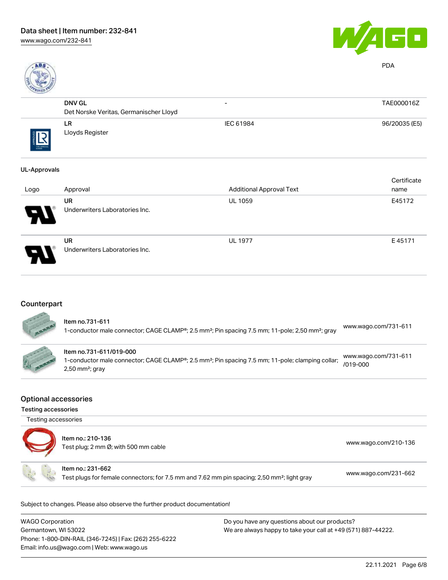

PDA

| Page 1      |                                        |                          |               |
|-------------|----------------------------------------|--------------------------|---------------|
|             | <b>DNV GL</b>                          | $\overline{\phantom{0}}$ | TAE000016Z    |
|             | Det Norske Veritas, Germanischer Lloyd |                          |               |
| THE APPROVE | LR.<br>Lloyds Register                 | IEC 61984                | 96/20035 (E5) |

#### UL-Approvals

|                            |                                             |                                 | Certificate |
|----------------------------|---------------------------------------------|---------------------------------|-------------|
| Logo                       | Approval                                    | <b>Additional Approval Text</b> | name        |
| $\boldsymbol{\mathcal{P}}$ | <b>UR</b><br>Underwriters Laboratories Inc. | <b>UL 1059</b>                  | E45172      |
| $\boldsymbol{\theta}$      | <b>UR</b><br>Underwriters Laboratories Inc. | <b>UL 1977</b>                  | E45171      |

## **Counterpart**

| <b>AND</b> | ltem no.731-611<br>1-conductor male connector; CAGE CLAMP®; 2.5 mm <sup>2</sup> ; Pin spacing 7.5 mm; 11-pole; 2,50 mm <sup>2</sup> ; gray                               | www.wago.com/731-611                 |
|------------|--------------------------------------------------------------------------------------------------------------------------------------------------------------------------|--------------------------------------|
|            | Item no.731-611/019-000<br>1-conductor male connector; CAGE CLAMP®; 2.5 mm <sup>2</sup> ; Pin spacing 7.5 mm; 11-pole; clamping collar;<br>$2,50$ mm <sup>2</sup> ; gray | www.wago.com/731-611<br>$/019 - 000$ |

#### Optional accessories

Testing accessories

| Testing accessories | Item no.: 210-136<br>Test plug; 2 mm Ø; with 500 mm cable                                                                    | www.wago.com/210-136 |
|---------------------|------------------------------------------------------------------------------------------------------------------------------|----------------------|
|                     | Item no.: 231-662<br>Test plugs for female connectors; for 7.5 mm and 7.62 mm pin spacing; 2,50 mm <sup>2</sup> ; light gray | www.wago.com/231-662 |

| WAGO Corporation                                       | Do you have any questions about our products?                 |
|--------------------------------------------------------|---------------------------------------------------------------|
| Germantown, WI 53022                                   | We are always happy to take your call at +49 (571) 887-44222. |
| Phone: 1-800-DIN-RAIL (346-7245)   Fax: (262) 255-6222 |                                                               |
| Email: info.us@wago.com   Web: www.wago.us             |                                                               |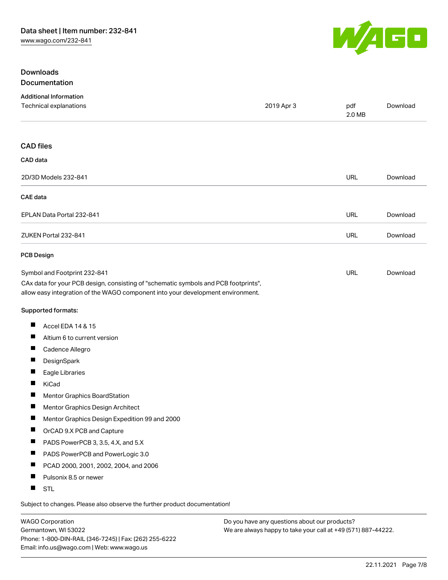

#### Downloads Documentation

| <b>Additional Information</b>                                                                                                                                          |            |               |          |
|------------------------------------------------------------------------------------------------------------------------------------------------------------------------|------------|---------------|----------|
| Technical explanations                                                                                                                                                 | 2019 Apr 3 | pdf<br>2.0 MB | Download |
| <b>CAD files</b>                                                                                                                                                       |            |               |          |
| CAD data                                                                                                                                                               |            |               |          |
| 2D/3D Models 232-841                                                                                                                                                   |            | <b>URL</b>    | Download |
|                                                                                                                                                                        |            |               |          |
| <b>CAE</b> data                                                                                                                                                        |            |               |          |
| EPLAN Data Portal 232-841                                                                                                                                              |            | <b>URL</b>    | Download |
| ZUKEN Portal 232-841                                                                                                                                                   |            | <b>URL</b>    | Download |
| <b>PCB Design</b>                                                                                                                                                      |            |               |          |
| Symbol and Footprint 232-841                                                                                                                                           |            | <b>URL</b>    | Download |
| CAx data for your PCB design, consisting of "schematic symbols and PCB footprints",<br>allow easy integration of the WAGO component into your development environment. |            |               |          |
| Supported formats:                                                                                                                                                     |            |               |          |
| ш<br>Accel EDA 14 & 15                                                                                                                                                 |            |               |          |
| ш<br>Altium 6 to current version                                                                                                                                       |            |               |          |
| ш<br>Cadence Allegro                                                                                                                                                   |            |               |          |
| Ш<br>DesignSpark                                                                                                                                                       |            |               |          |
| ш<br>Eagle Libraries                                                                                                                                                   |            |               |          |
| П<br>KiCad                                                                                                                                                             |            |               |          |
| ш<br><b>Mentor Graphics BoardStation</b>                                                                                                                               |            |               |          |
| ш<br>Mentor Graphics Design Architect                                                                                                                                  |            |               |          |
| ш<br>Mentor Graphics Design Expedition 99 and 2000                                                                                                                     |            |               |          |
| ш<br>OrCAD 9.X PCB and Capture                                                                                                                                         |            |               |          |
| ш<br>PADS PowerPCB 3, 3.5, 4.X, and 5.X                                                                                                                                |            |               |          |
| ш<br>PADS PowerPCB and PowerLogic 3.0                                                                                                                                  |            |               |          |
| PCAD 2000, 2001, 2002, 2004, and 2006<br>ш                                                                                                                             |            |               |          |
| ш<br>Pulsonix 8.5 or newer                                                                                                                                             |            |               |          |
| H.<br><b>STL</b>                                                                                                                                                       |            |               |          |
|                                                                                                                                                                        |            |               |          |

Subject to changes. Please also observe the further product documentation!

WAGO Corporation Germantown, WI 53022 Phone: 1-800-DIN-RAIL (346-7245) | Fax: (262) 255-6222 Email: info.us@wago.com | Web: www.wago.us

Do you have any questions about our products? We are always happy to take your call at +49 (571) 887-44222.